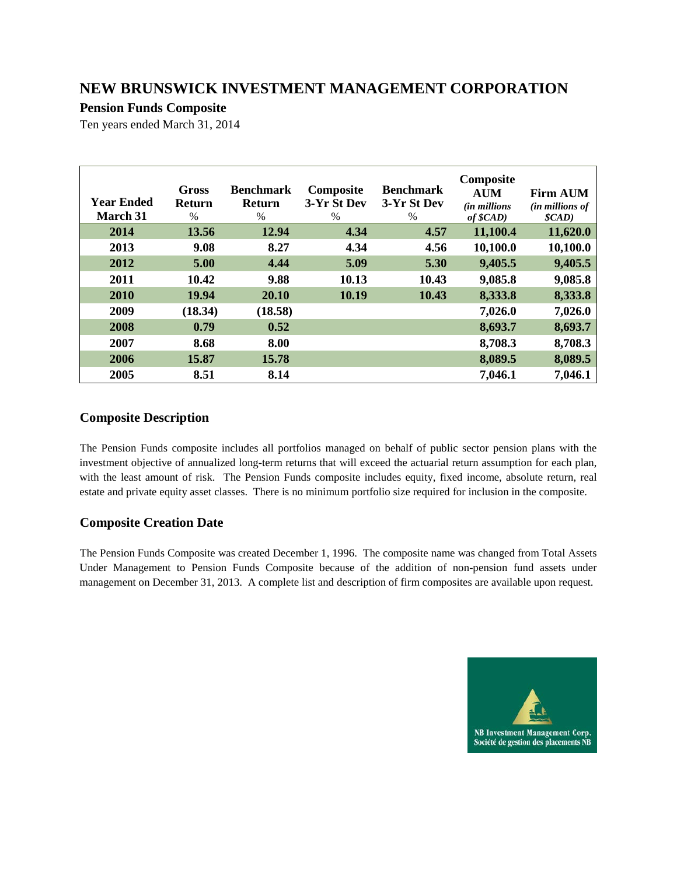## **Pension Funds Composite**

Ten years ended March 31, 2014

| <b>Year Ended</b><br><b>March 31</b> | <b>Gross</b><br><b>Return</b><br>$\%$ | <b>Benchmark</b><br><b>Return</b><br>$\%$ | Composite<br>3-Yr St Dev<br>$\%$ | <b>Benchmark</b><br>3-Yr St Dev<br>$\%$ | Composite<br><b>AUM</b><br><i>(in millions</i> )<br>of \$CAD) | <b>Firm AUM</b><br><i>(in millions of</i><br>$\mathcal{S}(AD)$ |
|--------------------------------------|---------------------------------------|-------------------------------------------|----------------------------------|-----------------------------------------|---------------------------------------------------------------|----------------------------------------------------------------|
| 2014                                 | 13.56                                 | 12.94                                     | 4.34                             | 4.57                                    | 11,100.4                                                      | 11,620.0                                                       |
| 2013                                 | 9.08                                  | 8.27                                      | 4.34                             | 4.56                                    | 10,100.0                                                      | 10,100.0                                                       |
| 2012                                 | 5.00                                  | 4.44                                      | 5.09                             | 5.30                                    | 9,405.5                                                       | 9,405.5                                                        |
| 2011                                 | 10.42                                 | 9.88                                      | 10.13                            | 10.43                                   | 9,085.8                                                       | 9,085.8                                                        |
| 2010                                 | 19.94                                 | 20.10                                     | 10.19                            | 10.43                                   | 8,333.8                                                       | 8,333.8                                                        |
| 2009                                 | (18.34)                               | (18.58)                                   |                                  |                                         | 7,026.0                                                       | 7,026.0                                                        |
| 2008                                 | 0.79                                  | 0.52                                      |                                  |                                         | 8,693.7                                                       | 8,693.7                                                        |
| 2007                                 | 8.68                                  | 8.00                                      |                                  |                                         | 8,708.3                                                       | 8,708.3                                                        |
| 2006                                 | 15.87                                 | 15.78                                     |                                  |                                         | 8,089.5                                                       | 8,089.5                                                        |
| 2005                                 | 8.51                                  | 8.14                                      |                                  |                                         | 7,046.1                                                       | 7,046.1                                                        |

## **Composite Description**

The Pension Funds composite includes all portfolios managed on behalf of public sector pension plans with the investment objective of annualized long-term returns that will exceed the actuarial return assumption for each plan, with the least amount of risk. The Pension Funds composite includes equity, fixed income, absolute return, real estate and private equity asset classes. There is no minimum portfolio size required for inclusion in the composite.

## **Composite Creation Date**

The Pension Funds Composite was created December 1, 1996. The composite name was changed from Total Assets Under Management to Pension Funds Composite because of the addition of non-pension fund assets under management on December 31, 2013. A complete list and description of firm composites are available upon request.

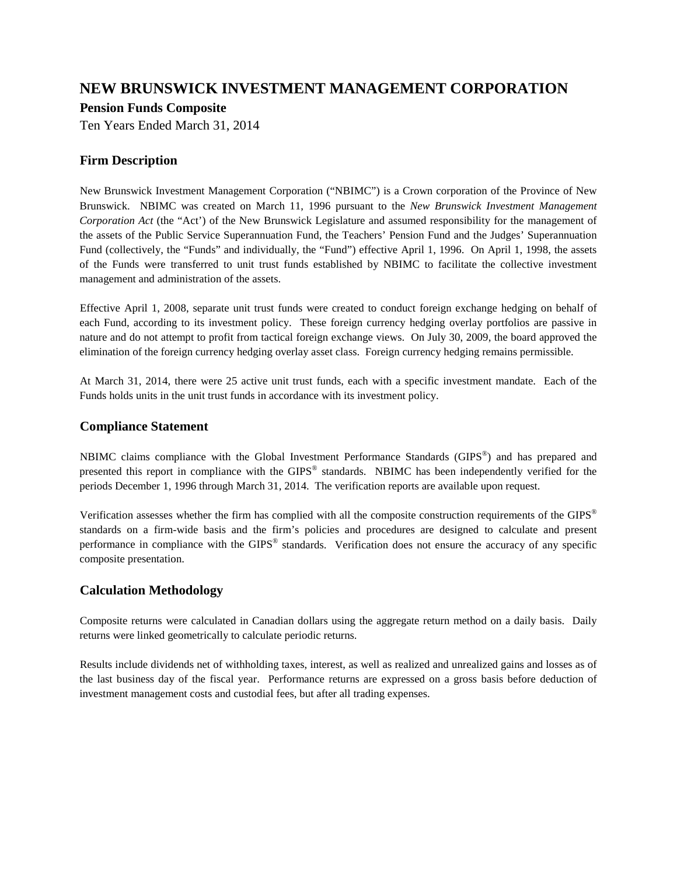### **Pension Funds Composite**

Ten Years Ended March 31, 2014

## **Firm Description**

New Brunswick Investment Management Corporation ("NBIMC") is a Crown corporation of the Province of New Brunswick. NBIMC was created on March 11, 1996 pursuant to the *New Brunswick Investment Management Corporation Act* (the "Act') of the New Brunswick Legislature and assumed responsibility for the management of the assets of the Public Service Superannuation Fund, the Teachers' Pension Fund and the Judges' Superannuation Fund (collectively, the "Funds" and individually, the "Fund") effective April 1, 1996. On April 1, 1998, the assets of the Funds were transferred to unit trust funds established by NBIMC to facilitate the collective investment management and administration of the assets.

Effective April 1, 2008, separate unit trust funds were created to conduct foreign exchange hedging on behalf of each Fund, according to its investment policy. These foreign currency hedging overlay portfolios are passive in nature and do not attempt to profit from tactical foreign exchange views. On July 30, 2009, the board approved the elimination of the foreign currency hedging overlay asset class. Foreign currency hedging remains permissible.

At March 31, 2014, there were 25 active unit trust funds, each with a specific investment mandate. Each of the Funds holds units in the unit trust funds in accordance with its investment policy.

### **Compliance Statement**

NBIMC claims compliance with the Global Investment Performance Standards (GIPS®) and has prepared and presented this report in compliance with the GIPS® standards. NBIMC has been independently verified for the periods December 1, 1996 through March 31, 2014. The verification reports are available upon request.

Verification assesses whether the firm has complied with all the composite construction requirements of the GIPS® standards on a firm-wide basis and the firm's policies and procedures are designed to calculate and present performance in compliance with the GIPS® standards. Verification does not ensure the accuracy of any specific composite presentation.

### **Calculation Methodology**

Composite returns were calculated in Canadian dollars using the aggregate return method on a daily basis. Daily returns were linked geometrically to calculate periodic returns.

Results include dividends net of withholding taxes, interest, as well as realized and unrealized gains and losses as of the last business day of the fiscal year. Performance returns are expressed on a gross basis before deduction of investment management costs and custodial fees, but after all trading expenses.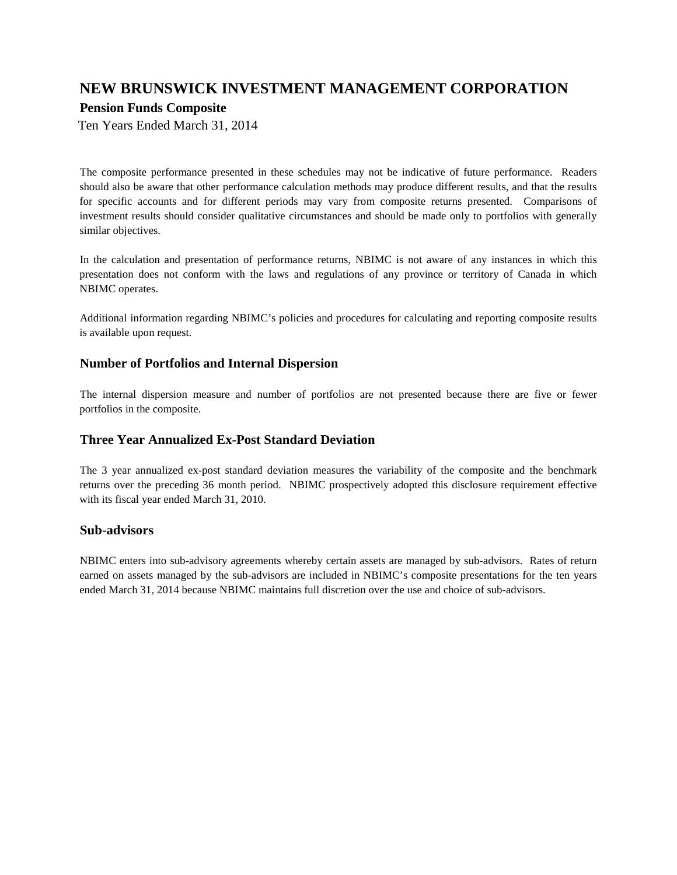## **Pension Funds Composite**

Ten Years Ended March 31, 2014

The composite performance presented in these schedules may not be indicative of future performance. Readers should also be aware that other performance calculation methods may produce different results, and that the results for specific accounts and for different periods may vary from composite returns presented. Comparisons of investment results should consider qualitative circumstances and should be made only to portfolios with generally similar objectives.

In the calculation and presentation of performance returns, NBIMC is not aware of any instances in which this presentation does not conform with the laws and regulations of any province or territory of Canada in which NBIMC operates.

Additional information regarding NBIMC's policies and procedures for calculating and reporting composite results is available upon request.

#### **Number of Portfolios and Internal Dispersion**

The internal dispersion measure and number of portfolios are not presented because there are five or fewer portfolios in the composite.

#### **Three Year Annualized Ex-Post Standard Deviation**

The 3 year annualized ex-post standard deviation measures the variability of the composite and the benchmark returns over the preceding 36 month period. NBIMC prospectively adopted this disclosure requirement effective with its fiscal year ended March 31, 2010.

#### **Sub-advisors**

NBIMC enters into sub-advisory agreements whereby certain assets are managed by sub-advisors. Rates of return earned on assets managed by the sub-advisors are included in NBIMC's composite presentations for the ten years ended March 31, 2014 because NBIMC maintains full discretion over the use and choice of sub-advisors.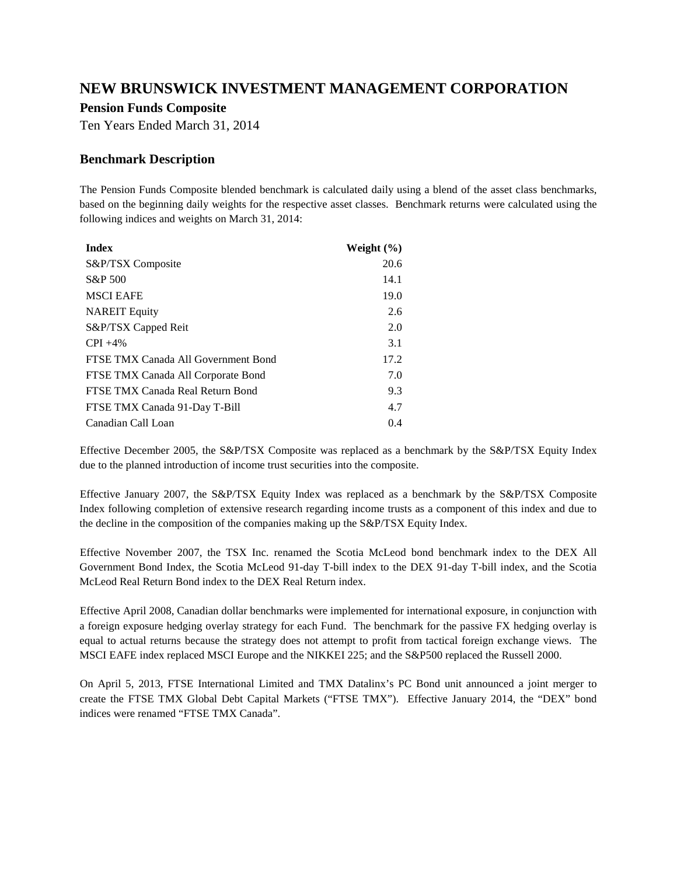#### **Pension Funds Composite**

Ten Years Ended March 31, 2014

### **Benchmark Description**

The Pension Funds Composite blended benchmark is calculated daily using a blend of the asset class benchmarks, based on the beginning daily weights for the respective asset classes. Benchmark returns were calculated using the following indices and weights on March 31, 2014:

| <b>Index</b>                        | Weight $(\% )$ |
|-------------------------------------|----------------|
| S&P/TSX Composite                   | 20.6           |
| S&P 500                             | 14.1           |
| <b>MSCI EAFE</b>                    | 19.0           |
| <b>NAREIT Equity</b>                | 2.6            |
| S&P/TSX Capped Reit                 | 2.0            |
| $CPI + 4\%$                         | 3.1            |
| FTSE TMX Canada All Government Bond | 17.2           |
| FTSE TMX Canada All Corporate Bond  | 7.0            |
| FTSE TMX Canada Real Return Bond    | 9.3            |
| FTSE TMX Canada 91-Day T-Bill       | 4.7            |
| Canadian Call Loan                  | 0.4            |

Effective December 2005, the S&P/TSX Composite was replaced as a benchmark by the S&P/TSX Equity Index due to the planned introduction of income trust securities into the composite.

Effective January 2007, the S&P/TSX Equity Index was replaced as a benchmark by the S&P/TSX Composite Index following completion of extensive research regarding income trusts as a component of this index and due to the decline in the composition of the companies making up the S&P/TSX Equity Index.

Effective November 2007, the TSX Inc. renamed the Scotia McLeod bond benchmark index to the DEX All Government Bond Index, the Scotia McLeod 91-day T-bill index to the DEX 91-day T-bill index, and the Scotia McLeod Real Return Bond index to the DEX Real Return index.

Effective April 2008, Canadian dollar benchmarks were implemented for international exposure, in conjunction with a foreign exposure hedging overlay strategy for each Fund. The benchmark for the passive FX hedging overlay is equal to actual returns because the strategy does not attempt to profit from tactical foreign exchange views. The MSCI EAFE index replaced MSCI Europe and the NIKKEI 225; and the S&P500 replaced the Russell 2000.

On April 5, 2013, FTSE International Limited and TMX Datalinx's PC Bond unit announced a joint merger to create the FTSE TMX Global Debt Capital Markets ("FTSE TMX"). Effective January 2014, the "DEX" bond indices were renamed "FTSE TMX Canada".